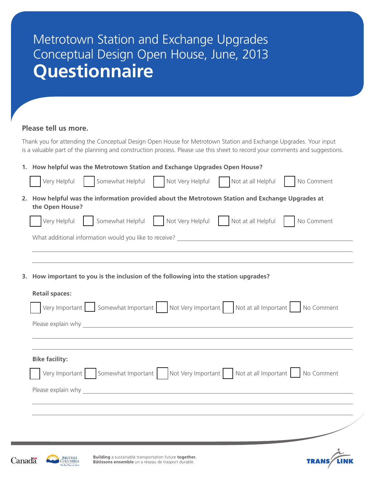## Metrotown Station and Exchange Upgrades Conceptual Design Open House, June, 2013 **Questionnaire**

## **Please tell us more.**

Thank you for attending the Conceptual Design Open House for Metrotown Station and Exchange Upgrades. Your input is a valuable part of the planning and construction process. Please use this sheet to record your comments and suggestions.

|                                                                                                                     | 1. How helpful was the Metrotown Station and Exchange Upgrades Open House?                                                                                                                                                     |  |  |
|---------------------------------------------------------------------------------------------------------------------|--------------------------------------------------------------------------------------------------------------------------------------------------------------------------------------------------------------------------------|--|--|
|                                                                                                                     | Somewhat Helpful<br>Not Very Helpful<br>Very Helpful<br>Not at all Helpful<br>No Comment                                                                                                                                       |  |  |
| 2. How helpful was the information provided about the Metrotown Station and Exchange Upgrades at<br>the Open House? |                                                                                                                                                                                                                                |  |  |
|                                                                                                                     | Very Helpful<br>Somewhat Helpful<br>Not Very Helpful Not at all Helpful<br>No Comment                                                                                                                                          |  |  |
|                                                                                                                     |                                                                                                                                                                                                                                |  |  |
|                                                                                                                     |                                                                                                                                                                                                                                |  |  |
|                                                                                                                     |                                                                                                                                                                                                                                |  |  |
| 3.                                                                                                                  | How important to you is the inclusion of the following into the station upgrades?                                                                                                                                              |  |  |
|                                                                                                                     | <b>Retail spaces:</b>                                                                                                                                                                                                          |  |  |
|                                                                                                                     | Very Important Somewhat Important   Not Very Important   Not at all Important<br>No Comment                                                                                                                                    |  |  |
|                                                                                                                     | Please explain why and the contract of the contract of the contract of the contract of the contract of the contract of the contract of the contract of the contract of the contract of the contract of the contract of the con |  |  |
|                                                                                                                     |                                                                                                                                                                                                                                |  |  |
|                                                                                                                     |                                                                                                                                                                                                                                |  |  |
|                                                                                                                     | <b>Bike facility:</b>                                                                                                                                                                                                          |  |  |
|                                                                                                                     | Very Important   Somewhat Important   Not Very Important   Not at all Important   No Comment                                                                                                                                   |  |  |
|                                                                                                                     |                                                                                                                                                                                                                                |  |  |
|                                                                                                                     |                                                                                                                                                                                                                                |  |  |
|                                                                                                                     |                                                                                                                                                                                                                                |  |  |
|                                                                                                                     |                                                                                                                                                                                                                                |  |  |